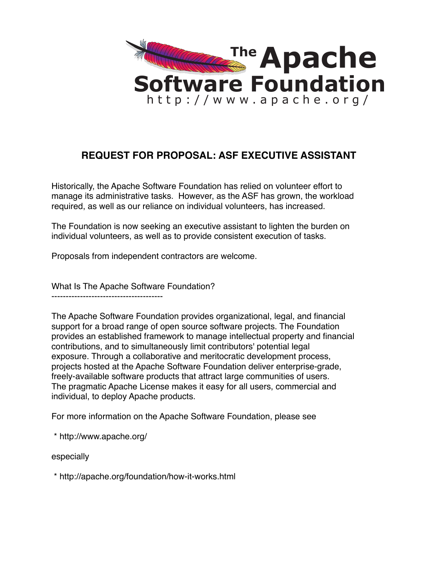

## **REQUEST FOR PROPOSAL: ASF EXECUTIVE ASSISTANT**

Historically, the Apache Software Foundation has relied on volunteer effort to manage its administrative tasks. However, as the ASF has grown, the workload required, as well as our reliance on individual volunteers, has increased.

The Foundation is now seeking an executive assistant to lighten the burden on individual volunteers, as well as to provide consistent execution of tasks.

Proposals from independent contractors are welcome.

What Is The Apache Software Foundation?

--------------------------------------- The Apache Software Foundation provides organizational, legal, and financial

support for a broad range of open source software projects. The Foundation provides an established framework to manage intellectual property and financial contributions, and to simultaneously limit contributors' potential legal exposure. Through a collaborative and meritocratic development process, projects hosted at the Apache Software Foundation deliver enterprise-grade, freely-available software products that attract large communities of users. The pragmatic Apache License makes it easy for all users, commercial and individual, to deploy Apache products.

For more information on the Apache Software Foundation, please see

\* http://www.apache.org/

especially

\* http://apache.org/foundation/how-it-works.html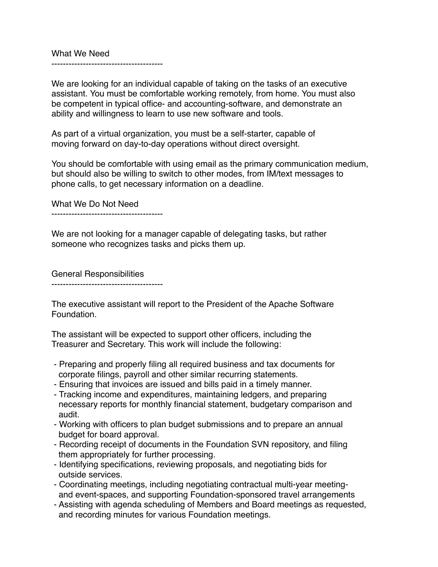What We Need ---------------------------------------

We are looking for an individual capable of taking on the tasks of an executive assistant. You must be comfortable working remotely, from home. You must also be competent in typical office- and accounting-software, and demonstrate an ability and willingness to learn to use new software and tools.

As part of a virtual organization, you must be a self-starter, capable of moving forward on day-to-day operations without direct oversight.

You should be comfortable with using email as the primary communication medium, but should also be willing to switch to other modes, from IM/text messages to phone calls, to get necessary information on a deadline.

What We Do Not Need

---------------------------------------

We are not looking for a manager capable of delegating tasks, but rather someone who recognizes tasks and picks them up.

General Responsibilities

---------------------------------------

The executive assistant will report to the President of the Apache Software Foundation.

The assistant will be expected to support other officers, including the Treasurer and Secretary. This work will include the following:

- Preparing and properly filing all required business and tax documents for corporate filings, payroll and other similar recurring statements.
- Ensuring that invoices are issued and bills paid in a timely manner.
- Tracking income and expenditures, maintaining ledgers, and preparing necessary reports for monthly financial statement, budgetary comparison and audit.
- Working with officers to plan budget submissions and to prepare an annual budget for board approval.
- Recording receipt of documents in the Foundation SVN repository, and filing them appropriately for further processing.
- Identifying specifications, reviewing proposals, and negotiating bids for outside services.
- Coordinating meetings, including negotiating contractual multi-year meeting and event-spaces, and supporting Foundation-sponsored travel arrangements
- Assisting with agenda scheduling of Members and Board meetings as requested, and recording minutes for various Foundation meetings.